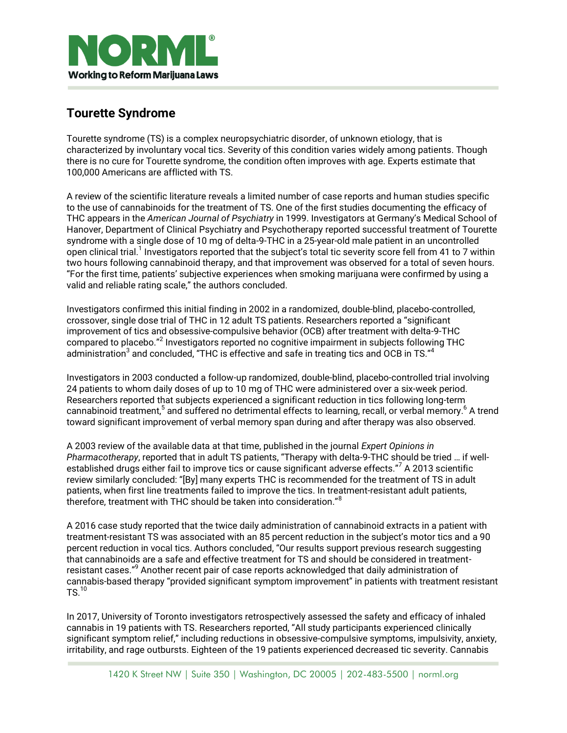

## **Tourette Syndrome**

Tourette syndrome (TS) is a complex neuropsychiatric disorder, of unknown etiology, that is characterized by involuntary vocal tics. Severity of this condition varies widely among patients. Though there is no cure for Tourette syndrome, the condition often improves with age. Experts estimate that 100,000 Americans are afflicted with TS.

A review of the scientific literature reveals a limited number of case reports and human studies specific to the use of cannabinoids for the treatment of TS. One of the first studies documenting the efficacy of THC appears in the *American Journal of Psychiatry* in 1999. Investigators at Germany's Medical School of Hanover, Department of Clinical Psychiatry and Psychotherapy reported successful treatment of Tourette syndrome with a single dose of 10 mg of delta-9-THC in a 25-year-old male patient in an uncontrolled open clinical trial.<sup>1</sup> Investigators reported that the subject's total tic severity score fell from 41 to 7 within two hours following cannabinoid therapy, and that improvement was observed for a total of seven hours. "For the first time, patients' subjective experiences when smoking marijuana were confirmed by using a valid and reliable rating scale," the authors concluded.

Investigators confirmed this initial finding in 2002 in a randomized, double-blind, placebo-controlled, crossover, single dose trial of THC in 12 adult TS patients. Researchers reported a "significant improvement of tics and obsessive-compulsive behavior (OCB) after treatment with delta-9-THC compared to placebo." Investigators reported no cognitive impairment in subjects following THC administration $^3$  and concluded, "THC is effective and safe in treating tics and OCB in TS." $^4$ 

Investigators in 2003 conducted a follow-up randomized, double-blind, placebo-controlled trial involving 24 patients to whom daily doses of up to 10 mg of THC were administered over a six-week period. Researchers reported that subjects experienced a significant reduction in tics following long-term cannabinoid treatment,<sup>5</sup> and suffered no detrimental effects to learning, recall, or verbal memory.<sup>6</sup> A trend toward significant improvement of verbal memory span during and after therapy was also observed.

A 2003 review of the available data at that time, published in the journal *Expert Opinions in Pharmacotherapy*, reported that in adult TS patients, "Therapy with delta-9-THC should be tried … if wellestablished drugs either fail to improve tics or cause significant adverse effects." $^7$  A 2013 scientific review similarly concluded: "[By] many experts THC is recommended for the treatment of TS in adult patients, when first line treatments failed to improve the tics. In treatment-resistant adult patients, therefore, treatment with THC should be taken into consideration."<sup>8</sup>

A 2016 case study reported that the twice daily administration of cannabinoid extracts in a patient with treatment-resistant TS was associated with an 85 percent reduction in the subject's motor tics and a 90 percent reduction in vocal tics. Authors concluded, "Our results support previous research suggesting that cannabinoids are a safe and effective treatment for TS and should be considered in treatmentresistant cases."<sup>9</sup> Another recent pair of case reports acknowledged that daily administration of cannabis-based therapy "provided significant symptom improvement" in patients with treatment resistant  $TS<sup>10</sup>$ 

In 2017, University of Toronto investigators retrospectively assessed the safety and efficacy of inhaled cannabis in 19 patients with TS. Researchers reported, "All study participants experienced clinically significant symptom relief," including reductions in obsessive-compulsive symptoms, impulsivity, anxiety, irritability, and rage outbursts. Eighteen of the 19 patients experienced decreased tic severity. Cannabis